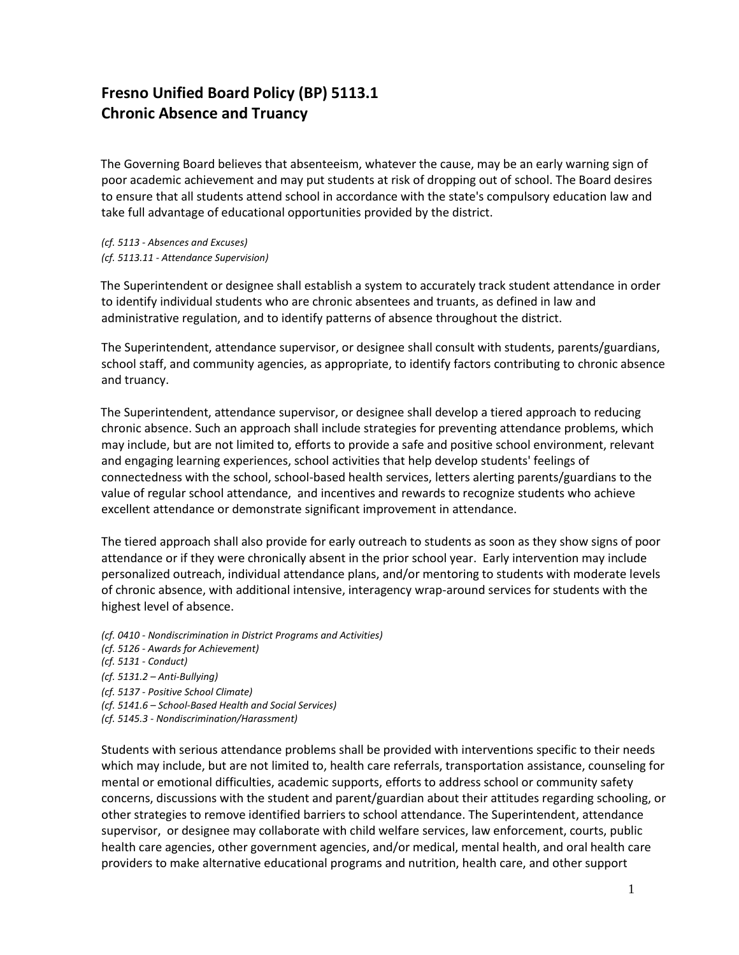## **Fresno Unified Board Policy (BP) 5113.1 Chronic Absence and Truancy**

The Governing Board believes that absenteeism, whatever the cause, may be an early warning sign of poor academic achievement and may put students at risk of dropping out of school. The Board desires to ensure that all students attend school in accordance with the state's compulsory education law and take full advantage of educational opportunities provided by the district.

*(cf. 5113 - Absences and Excuses) (cf. 5113.11 - Attendance Supervision)*

The Superintendent or designee shall establish a system to accurately track student attendance in order to identify individual students who are chronic absentees and truants, as defined in law and administrative regulation, and to identify patterns of absence throughout the district.

The Superintendent, attendance supervisor, or designee shall consult with students, parents/guardians, school staff, and community agencies, as appropriate, to identify factors contributing to chronic absence and truancy.

The Superintendent, attendance supervisor, or designee shall develop a tiered approach to reducing chronic absence. Such an approach shall include strategies for preventing attendance problems, which may include, but are not limited to, efforts to provide a safe and positive school environment, relevant and engaging learning experiences, school activities that help develop students' feelings of connectedness with the school, school-based health services, letters alerting parents/guardians to the value of regular school attendance, and incentives and rewards to recognize students who achieve excellent attendance or demonstrate significant improvement in attendance.

The tiered approach shall also provide for early outreach to students as soon as they show signs of poor attendance or if they were chronically absent in the prior school year. Early intervention may include personalized outreach, individual attendance plans, and/or mentoring to students with moderate levels of chronic absence, with additional intensive, interagency wrap-around services for students with the highest level of absence.

*(cf. 0410 - Nondiscrimination in District Programs and Activities) (cf. 5126 - Awards for Achievement) (cf. 5131 - Conduct) (cf. 5131.2 – Anti-Bullying) (cf. 5137 - Positive School Climate) (cf. 5141.6 – School-Based Health and Social Services) (cf. 5145.3 - Nondiscrimination/Harassment)*

Students with serious attendance problems shall be provided with interventions specific to their needs which may include, but are not limited to, health care referrals, transportation assistance, counseling for mental or emotional difficulties, academic supports, efforts to address school or community safety concerns, discussions with the student and parent/guardian about their attitudes regarding schooling, or other strategies to remove identified barriers to school attendance. The Superintendent, attendance supervisor, or designee may collaborate with child welfare services, law enforcement, courts, public health care agencies, other government agencies, and/or medical, mental health, and oral health care providers to make alternative educational programs and nutrition, health care, and other support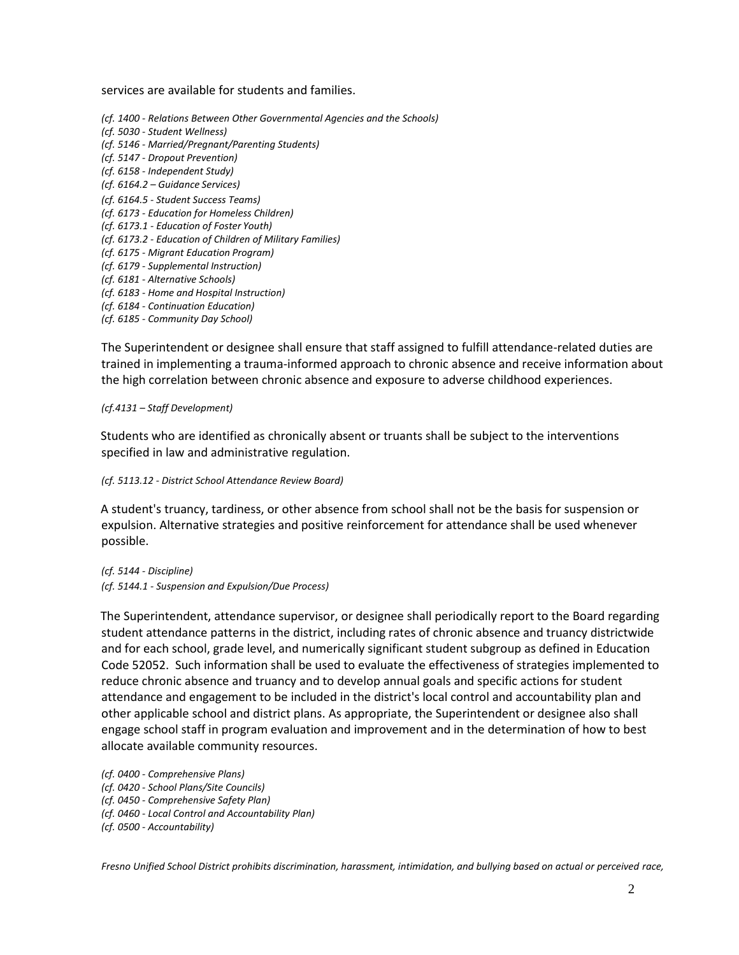services are available for students and families.

*(cf. 1400 - Relations Between Other Governmental Agencies and the Schools) (cf. 5030 - Student Wellness) (cf. 5146 - Married/Pregnant/Parenting Students) (cf. 5147 - Dropout Prevention) (cf. 6158 - Independent Study) (cf. 6164.2 – Guidance Services) (cf. 6164.5 - Student Success Teams) (cf. 6173 - Education for Homeless Children) (cf. 6173.1 - Education of Foster Youth) (cf. 6173.2 - Education of Children of Military Families) (cf. 6175 - Migrant Education Program) (cf. 6179 - Supplemental Instruction) (cf. 6181 - Alternative Schools) (cf. 6183 - Home and Hospital Instruction) (cf. 6184 - Continuation Education) (cf. 6185 - Community Day School)*

The Superintendent or designee shall ensure that staff assigned to fulfill attendance-related duties are trained in implementing a trauma-informed approach to chronic absence and receive information about

the high correlation between chronic absence and exposure to adverse childhood experiences.

*(cf.4131 – Staff Development)*

Students who are identified as chronically absent or truants shall be subject to the interventions specified in law and administrative regulation.

*(cf. 5113.12 - District School Attendance Review Board)*

A student's truancy, tardiness, or other absence from school shall not be the basis for suspension or expulsion. Alternative strategies and positive reinforcement for attendance shall be used whenever possible.

*(cf. 5144 - Discipline) (cf. 5144.1 - Suspension and Expulsion/Due Process)*

The Superintendent, attendance supervisor, or designee shall periodically report to the Board regarding student attendance patterns in the district, including rates of chronic absence and truancy districtwide and for each school, grade level, and numerically significant student subgroup as defined in Education Code 52052. Such information shall be used to evaluate the effectiveness of strategies implemented to reduce chronic absence and truancy and to develop annual goals and specific actions for student attendance and engagement to be included in the district's local control and accountability plan and other applicable school and district plans. As appropriate, the Superintendent or designee also shall engage school staff in program evaluation and improvement and in the determination of how to best allocate available community resources.

*(cf. 0400 - Comprehensive Plans) (cf. 0420 - School Plans/Site Councils) (cf. 0450 - Comprehensive Safety Plan) (cf. 0460 - Local Control and Accountability Plan)*

*(cf. 0500 - Accountability)*

*Fresno Unified School District prohibits discrimination, harassment, intimidation, and bullying based on actual or perceived race,*